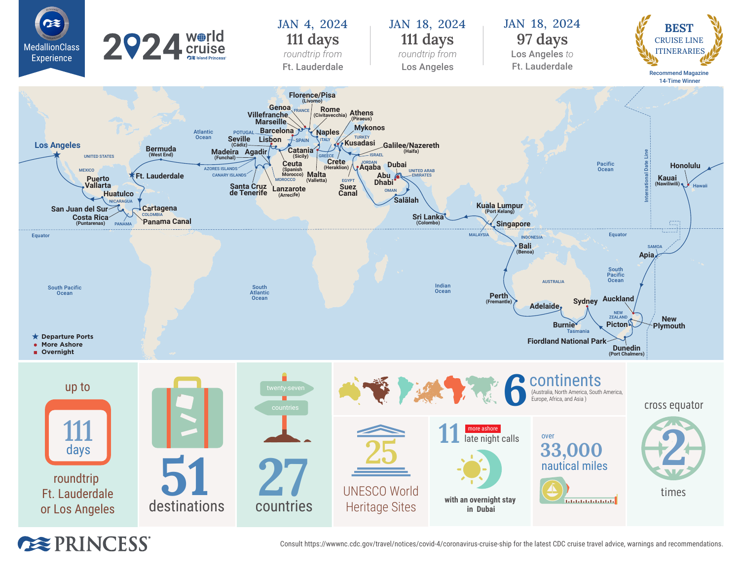

**EXPRINCESS** 

Consult https://wwwnc.cdc.gov/travel/notices/covid-4/coronavirus-cruise-ship for the latest CDC cruise travel advice, warnings and recommendations.